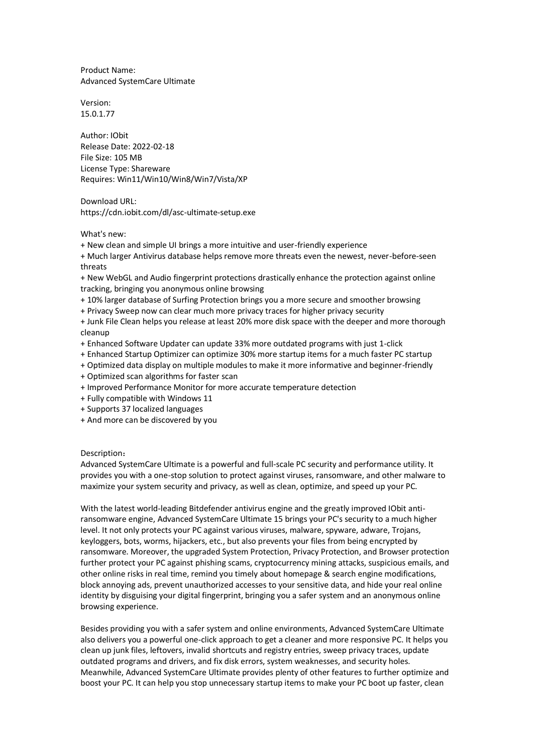Product Name: Advanced SystemCare Ultimate

Version: 15.0.1.77

Author: IObit Release Date: 2022-02-18 File Size: 105 MB License Type: Shareware Requires: Win11/Win10/Win8/Win7/Vista/XP

Download URL: https://cdn.iobit.com/dl/asc-ultimate-setup.exe

What's new:

+ New clean and simple UI brings a more intuitive and user-friendly experience

+ Much larger Antivirus database helps remove more threats even the newest, never-before-seen threats

+ New WebGL and Audio fingerprint protections drastically enhance the protection against online tracking, bringing you anonymous online browsing

+ 10% larger database of Surfing Protection brings you a more secure and smoother browsing

+ Privacy Sweep now can clear much more privacy traces for higher privacy security

+ Junk File Clean helps you release at least 20% more disk space with the deeper and more thorough cleanup

- + Enhanced Software Updater can update 33% more outdated programs with just 1-click
- + Enhanced Startup Optimizer can optimize 30% more startup items for a much faster PC startup
- + Optimized data display on multiple modules to make it more informative and beginner-friendly
- + Optimized scan algorithms for faster scan
- + Improved Performance Monitor for more accurate temperature detection
- + Fully compatible with Windows 11
- + Supports 37 localized languages
- + And more can be discovered by you

## Description:

Advanced SystemCare Ultimate is a powerful and full-scale PC security and performance utility. It provides you with a one-stop solution to protect against viruses, ransomware, and other malware to maximize your system security and privacy, as well as clean, optimize, and speed up your PC.

With the latest world-leading Bitdefender antivirus engine and the greatly improved IObit antiransomware engine, Advanced SystemCare Ultimate 15 brings your PC's security to a much higher level. It not only protects your PC against various viruses, malware, spyware, adware, Trojans, keyloggers, bots, worms, hijackers, etc., but also prevents your files from being encrypted by ransomware. Moreover, the upgraded System Protection, Privacy Protection, and Browser protection further protect your PC against phishing scams, cryptocurrency mining attacks, suspicious emails, and other online risks in real time, remind you timely about homepage & search engine modifications, block annoying ads, prevent unauthorized accesses to your sensitive data, and hide your real online identity by disguising your digital fingerprint, bringing you a safer system and an anonymous online browsing experience.

Besides providing you with a safer system and online environments, Advanced SystemCare Ultimate also delivers you a powerful one-click approach to get a cleaner and more responsive PC. It helps you clean up junk files, leftovers, invalid shortcuts and registry entries, sweep privacy traces, update outdated programs and drivers, and fix disk errors, system weaknesses, and security holes. Meanwhile, Advanced SystemCare Ultimate provides plenty of other features to further optimize and boost your PC. It can help you stop unnecessary startup items to make your PC boot up faster, clean